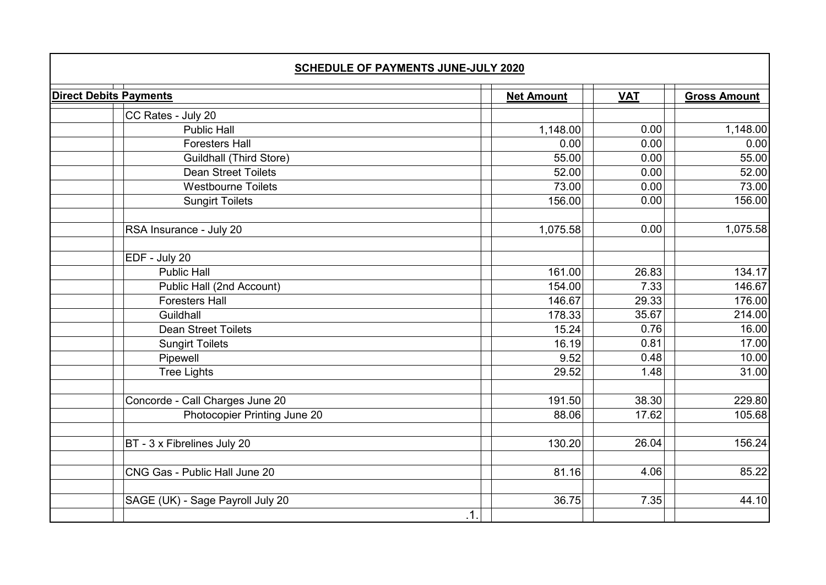| <b>SCHEDULE OF PAYMENTS JUNE-JULY 2020</b> |     |                   |  |            |                     |
|--------------------------------------------|-----|-------------------|--|------------|---------------------|
| <b>Direct Debits Payments</b>              |     | <b>Net Amount</b> |  | <b>VAT</b> | <b>Gross Amount</b> |
| CC Rates - July 20                         |     |                   |  |            |                     |
| <b>Public Hall</b>                         |     | 1,148.00          |  | 0.00       | 1,148.00            |
| <b>Foresters Hall</b>                      |     | 0.00              |  | 0.00       | 0.00                |
| <b>Guildhall (Third Store)</b>             |     | 55.00             |  | 0.00       | 55.00               |
| <b>Dean Street Toilets</b>                 |     | 52.00             |  | 0.00       | 52.00               |
| <b>Westbourne Toilets</b>                  |     | 73.00             |  | 0.00       | 73.00               |
| <b>Sungirt Toilets</b>                     |     | 156.00            |  | 0.00       | 156.00              |
| RSA Insurance - July 20                    |     | 1,075.58          |  | 0.00       | 1,075.58            |
| EDF - July 20                              |     |                   |  |            |                     |
| <b>Public Hall</b>                         |     | 161.00            |  | 26.83      | 134.17              |
| Public Hall (2nd Account)                  |     | 154.00            |  | 7.33       | 146.67              |
| <b>Foresters Hall</b>                      |     | 146.67            |  | 29.33      | 176.00              |
| Guildhall                                  |     | 178.33            |  | 35.67      | 214.00              |
| <b>Dean Street Toilets</b>                 |     | 15.24             |  | 0.76       | 16.00               |
| <b>Sungirt Toilets</b>                     |     | 16.19             |  | 0.81       | 17.00               |
| Pipewell                                   |     | 9.52              |  | 0.48       | 10.00               |
| <b>Tree Lights</b>                         |     | 29.52             |  | 1.48       | 31.00               |
| Concorde - Call Charges June 20            |     | 191.50            |  | 38.30      | 229.80              |
| Photocopier Printing June 20               |     | 88.06             |  | 17.62      | 105.68              |
| BT - 3 x Fibrelines July 20                |     | 130.20            |  | 26.04      | 156.24              |
| CNG Gas - Public Hall June 20              |     | 81.16             |  | 4.06       | 85.22               |
| SAGE (UK) - Sage Payroll July 20           | .1. | 36.75             |  | 7.35       | 44.10               |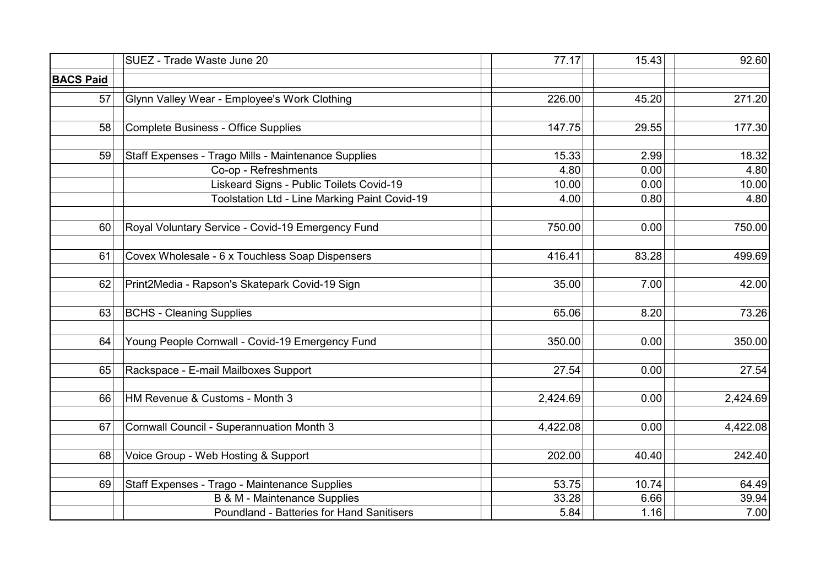|                  | SUEZ - Trade Waste June 20                          | 77.17    | 15.43 | $\overline{92.60}$ |
|------------------|-----------------------------------------------------|----------|-------|--------------------|
| <b>BACS Paid</b> |                                                     |          |       |                    |
| 57               | Glynn Valley Wear - Employee's Work Clothing        | 226.00   | 45.20 | 271.20             |
| 58               | <b>Complete Business - Office Supplies</b>          | 147.75   | 29.55 | 177.30             |
| 59               | Staff Expenses - Trago Mills - Maintenance Supplies | 15.33    | 2.99  | 18.32              |
|                  | Co-op - Refreshments                                | 4.80     | 0.00  | 4.80               |
|                  | Liskeard Signs - Public Toilets Covid-19            | 10.00    | 0.00  | 10.00              |
|                  | Toolstation Ltd - Line Marking Paint Covid-19       | 4.00     | 0.80  | 4.80               |
| 60               | Royal Voluntary Service - Covid-19 Emergency Fund   | 750.00   | 0.00  | 750.00             |
| 61               | Covex Wholesale - 6 x Touchless Soap Dispensers     | 416.41   | 83.28 | 499.69             |
| 62               | Print2Media - Rapson's Skatepark Covid-19 Sign      | 35.00    | 7.00  | 42.00              |
| 63               | <b>BCHS - Cleaning Supplies</b>                     | 65.06    | 8.20  | 73.26              |
| 64               | Young People Cornwall - Covid-19 Emergency Fund     | 350.00   | 0.00  | 350.00             |
| 65               | Rackspace - E-mail Mailboxes Support                | 27.54    | 0.00  | 27.54              |
| 66               | HM Revenue & Customs - Month 3                      | 2,424.69 | 0.00  | 2,424.69           |
| 67               | <b>Cornwall Council - Superannuation Month 3</b>    | 4,422.08 | 0.00  | 4,422.08           |
| 68               | Voice Group - Web Hosting & Support                 | 202.00   | 40.40 | 242.40             |
| 69               | Staff Expenses - Trago - Maintenance Supplies       | 53.75    | 10.74 | 64.49              |
|                  | <b>B &amp; M - Maintenance Supplies</b>             | 33.28    | 6.66  | 39.94              |
|                  | Poundland - Batteries for Hand Sanitisers           | 5.84     | 1.16  | 7.00               |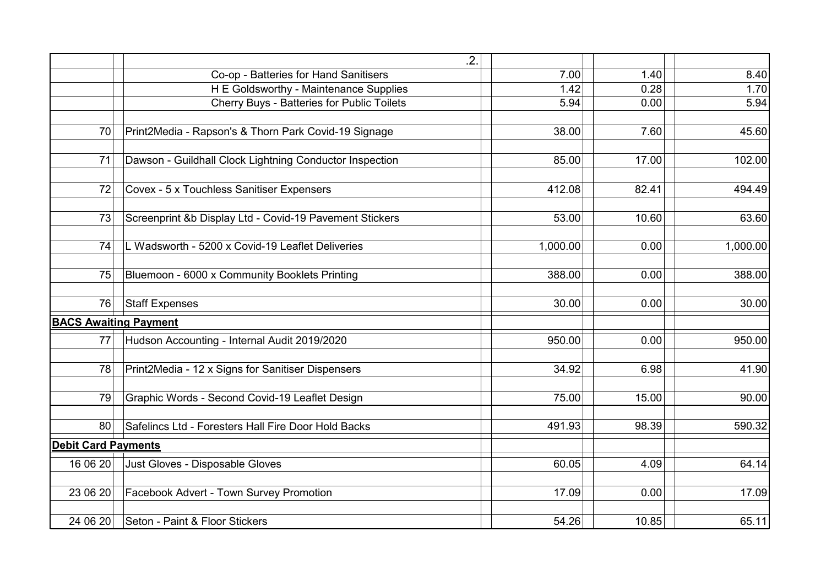|                              | .2.                                                     |          |       |          |
|------------------------------|---------------------------------------------------------|----------|-------|----------|
|                              | Co-op - Batteries for Hand Sanitisers                   | 7.00     | 1.40  | 8.40     |
|                              | H E Goldsworthy - Maintenance Supplies                  | 1.42     | 0.28  | 1.70     |
|                              | Cherry Buys - Batteries for Public Toilets              | 5.94     | 0.00  | 5.94     |
|                              |                                                         |          |       |          |
| 70                           | Print2Media - Rapson's & Thorn Park Covid-19 Signage    | 38.00    | 7.60  | 45.60    |
|                              |                                                         |          |       |          |
| 71                           | Dawson - Guildhall Clock Lightning Conductor Inspection | 85.00    | 17.00 | 102.00   |
| 72                           | Covex - 5 x Touchless Sanitiser Expensers               | 412.08   | 82.41 | 494.49   |
|                              |                                                         |          |       |          |
| 73                           | Screenprint &b Display Ltd - Covid-19 Pavement Stickers | 53.00    | 10.60 | 63.60    |
|                              |                                                         |          |       |          |
| 74                           | L Wadsworth - 5200 x Covid-19 Leaflet Deliveries        | 1,000.00 | 0.00  | 1,000.00 |
|                              |                                                         |          |       |          |
| 75                           | Bluemoon - 6000 x Community Booklets Printing           | 388.00   | 0.00  | 388.00   |
|                              |                                                         |          |       |          |
| 76                           | <b>Staff Expenses</b>                                   | 30.00    | 0.00  | 30.00    |
| <b>BACS Awaiting Payment</b> |                                                         |          |       |          |
| 77                           | Hudson Accounting - Internal Audit 2019/2020            | 950.00   | 0.00  | 950.00   |
|                              |                                                         |          |       |          |
| 78                           | Print2Media - 12 x Signs for Sanitiser Dispensers       | 34.92    | 6.98  | 41.90    |
|                              |                                                         |          |       |          |
| 79                           | Graphic Words - Second Covid-19 Leaflet Design          | 75.00    | 15.00 | 90.00    |
| 80                           | Safelincs Ltd - Foresters Hall Fire Door Hold Backs     | 491.93   | 98.39 | 590.32   |
| <b>Debit Card Payments</b>   |                                                         |          |       |          |
|                              |                                                         |          |       |          |
| 16 06 20                     | Just Gloves - Disposable Gloves                         | 60.05    | 4.09  | 64.14    |
| 23 06 20                     | Facebook Advert - Town Survey Promotion                 | 17.09    | 0.00  | 17.09    |
|                              |                                                         |          |       |          |
| 24 06 20                     | Seton - Paint & Floor Stickers                          | 54.26    | 10.85 | 65.11    |